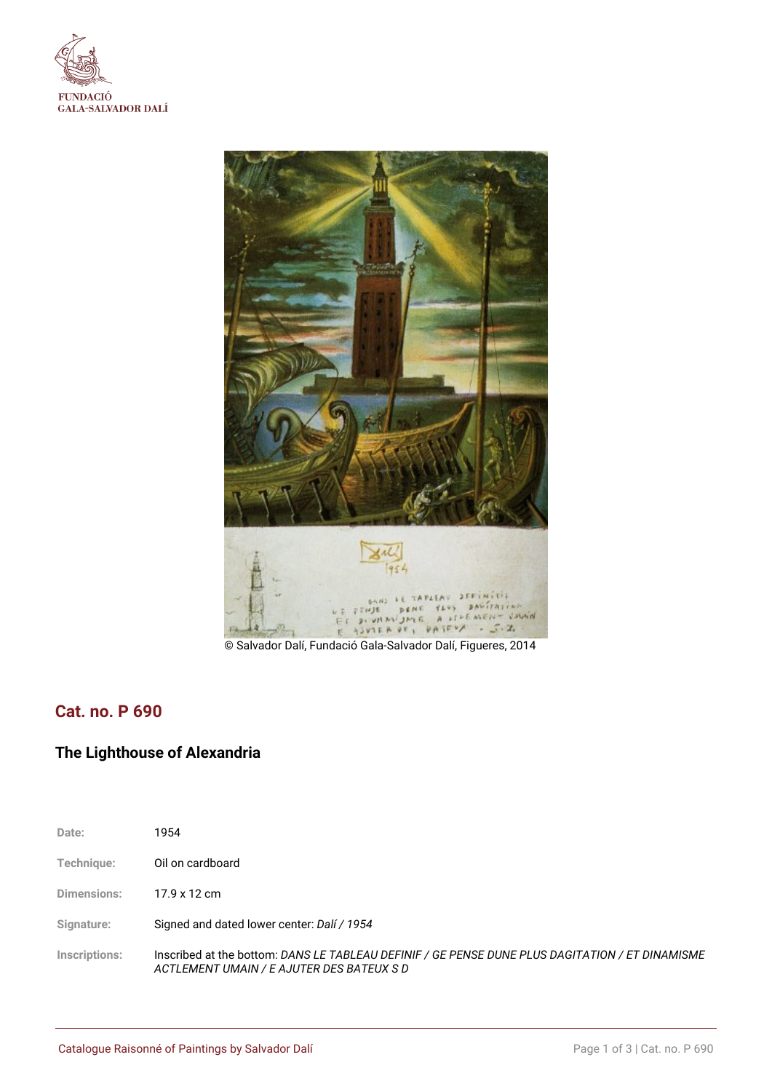



© Salvador Dalí, Fundació Gala-Salvador Dalí, Figueres, 2014

## **Cat. no. P 690**

## **The Lighthouse of Alexandria**

| Date:         | 1954                                                                                                                                         |
|---------------|----------------------------------------------------------------------------------------------------------------------------------------------|
| Technique:    | Oil on cardboard                                                                                                                             |
| Dimensions:   | 17.9 x 12 cm                                                                                                                                 |
| Signature:    | Signed and dated lower center: Dalí / 1954                                                                                                   |
| Inscriptions: | Inscribed at the bottom: DANS LE TABLEAU DEFINIF / GE PENSE DUNE PLUS DAGITATION / ET DINAMISME<br>ACTLEMENT UMAIN / E AJUTER DES BATEUX S D |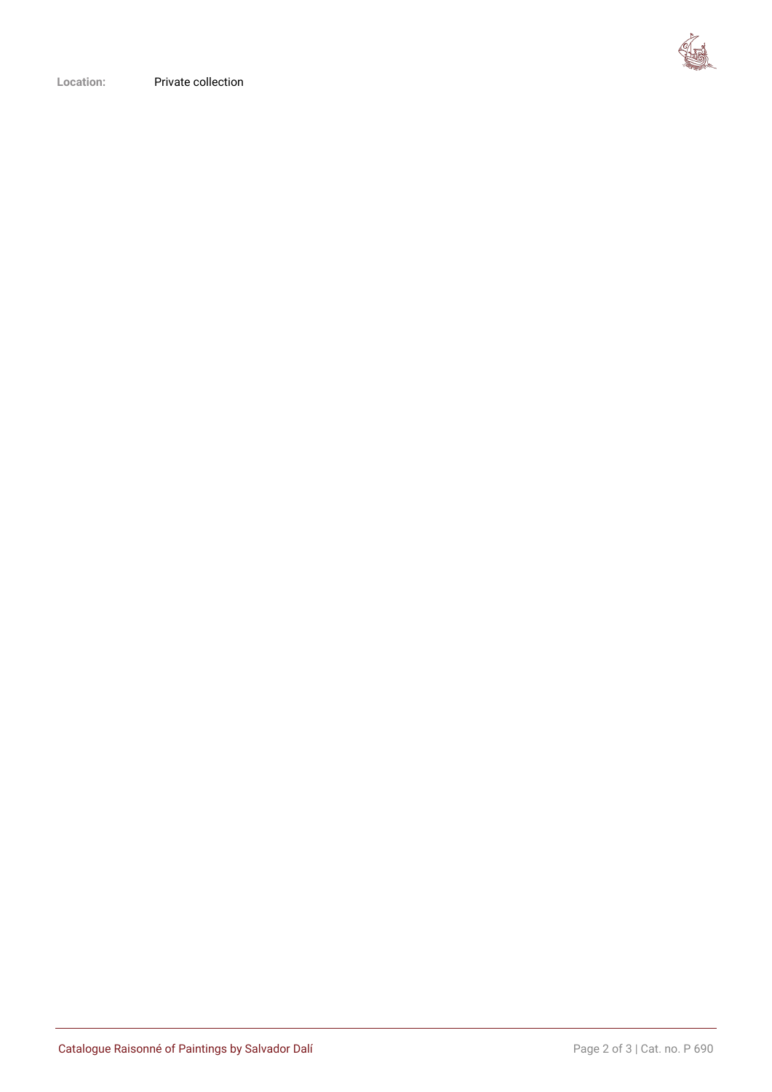

**Location:** Private collection